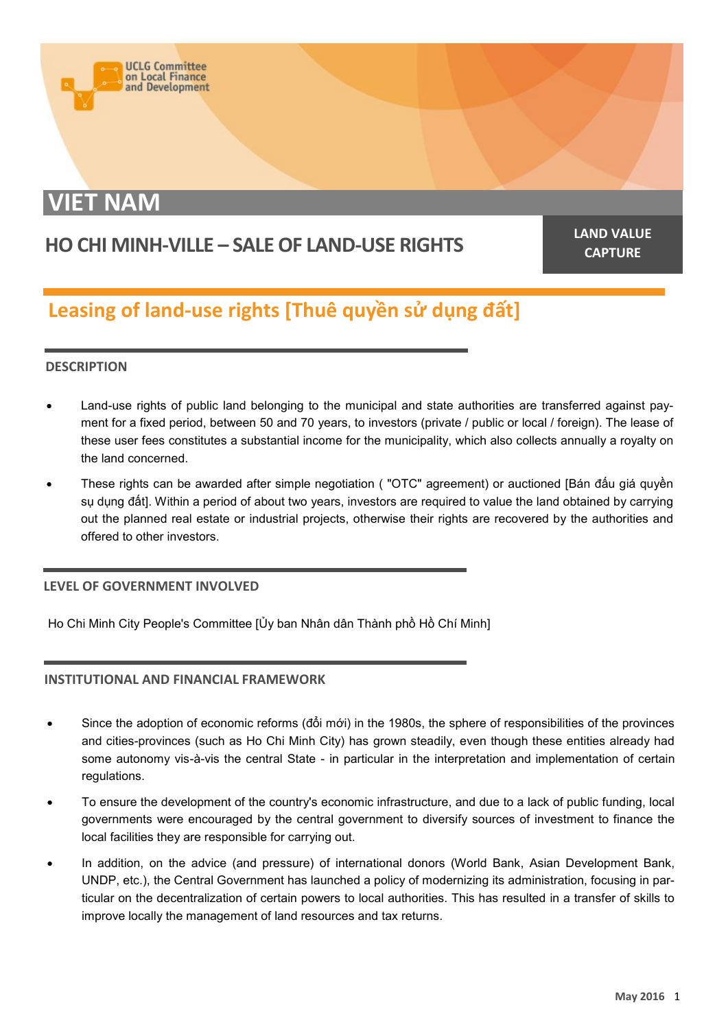

# **VIET NAM**

# **HO CHI MINH-VILLE – SALE OF LAND-USE RIGHTS LAND VALUE**

**CAPTURE**

# **Leasing of land-use rights [Thuê quyền sử dụng đất]**

# **DESCRIPTION**

- Land-use rights of public land belonging to the municipal and state authorities are transferred against payment for a fixed period, between 50 and 70 years, to investors (private / public or local / foreign). The lease of these user fees constitutes a substantial income for the municipality, which also collects annually a royalty on the land concerned.
- These rights can be awarded after simple negotiation ( "OTC" agreement) or auctioned [Bán đấu giá quyền sụ dụng đất]. Within a period of about two years, investors are required to value the land obtained by carrying out the planned real estate or industrial projects, otherwise their rights are recovered by the authorities and offered to other investors.

# **LEVEL OF GOVERNMENT INVOLVED**

Ho Chi Minh City People's Committee [Ủy ban Nhân dân Thành phồ Hồ Chí Minh]

# **INSTITUTIONAL AND FINANCIAL FRAMEWORK**

- Since the adoption of economic reforms (đổi mới) in the 1980s, the sphere of responsibilities of the provinces and cities-provinces (such as Ho Chi Minh City) has grown steadily, even though these entities already had some autonomy vis-à-vis the central State - in particular in the interpretation and implementation of certain regulations.
- To ensure the development of the country's economic infrastructure, and due to a lack of public funding, local governments were encouraged by the central government to diversify sources of investment to finance the local facilities they are responsible for carrying out.
- In addition, on the advice (and pressure) of international donors (World Bank, Asian Development Bank, UNDP, etc.), the Central Government has launched a policy of modernizing its administration, focusing in particular on the decentralization of certain powers to local authorities. This has resulted in a transfer of skills to improve locally the management of land resources and tax returns.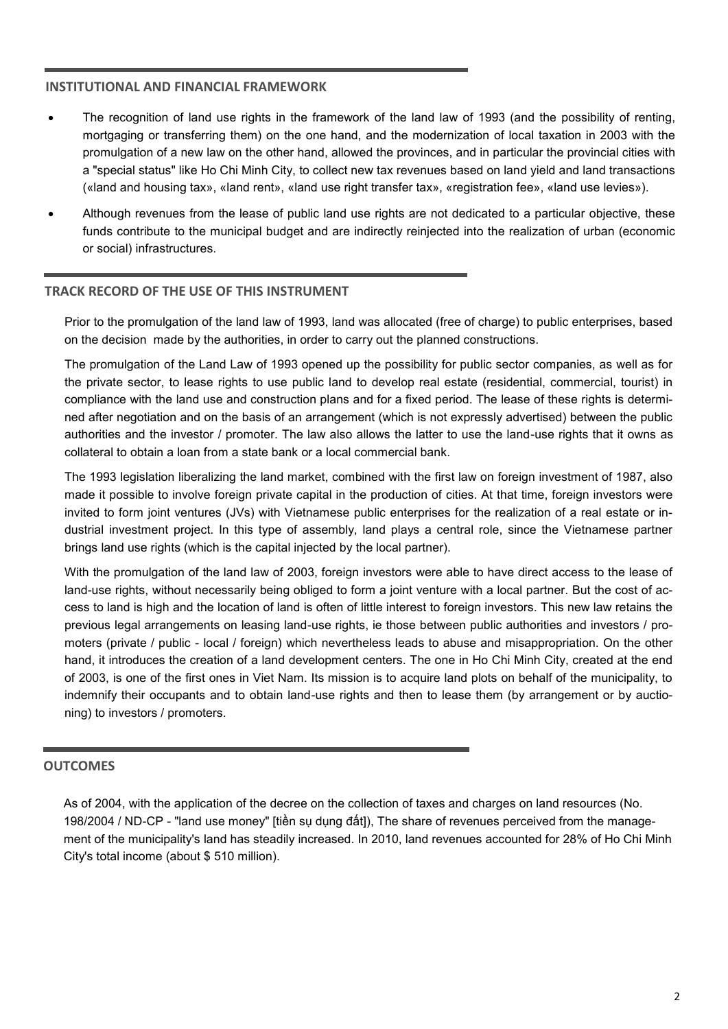#### **INSTITUTIONAL AND FINANCIAL FRAMEWORK**

- The recognition of land use rights in the framework of the land law of 1993 (and the possibility of renting, mortgaging or transferring them) on the one hand, and the modernization of local taxation in 2003 with the promulgation of a new law on the other hand, allowed the provinces, and in particular the provincial cities with a "special status" like Ho Chi Minh City, to collect new tax revenues based on land yield and land transactions («land and housing tax», «land rent», «land use right transfer tax», «registration fee», «land use levies»).
- Although revenues from the lease of public land use rights are not dedicated to a particular objective, these funds contribute to the municipal budget and are indirectly reinjected into the realization of urban (economic or social) infrastructures.

#### **TRACK RECORD OF THE USE OF THIS INSTRUMENT**

Prior to the promulgation of the land law of 1993, land was allocated (free of charge) to public enterprises, based on the decision made by the authorities, in order to carry out the planned constructions.

The promulgation of the Land Law of 1993 opened up the possibility for public sector companies, as well as for the private sector, to lease rights to use public land to develop real estate (residential, commercial, tourist) in compliance with the land use and construction plans and for a fixed period. The lease of these rights is determined after negotiation and on the basis of an arrangement (which is not expressly advertised) between the public authorities and the investor / promoter. The law also allows the latter to use the land-use rights that it owns as collateral to obtain a loan from a state bank or a local commercial bank.

The 1993 legislation liberalizing the land market, combined with the first law on foreign investment of 1987, also made it possible to involve foreign private capital in the production of cities. At that time, foreign investors were invited to form joint ventures (JVs) with Vietnamese public enterprises for the realization of a real estate or industrial investment project. In this type of assembly, land plays a central role, since the Vietnamese partner brings land use rights (which is the capital injected by the local partner).

With the promulgation of the land law of 2003, foreign investors were able to have direct access to the lease of land-use rights, without necessarily being obliged to form a joint venture with a local partner. But the cost of access to land is high and the location of land is often of little interest to foreign investors. This new law retains the previous legal arrangements on leasing land-use rights, ie those between public authorities and investors / promoters (private / public - local / foreign) which nevertheless leads to abuse and misappropriation. On the other hand, it introduces the creation of a land development centers. The one in Ho Chi Minh City, created at the end of 2003, is one of the first ones in Viet Nam. Its mission is to acquire land plots on behalf of the municipality, to indemnify their occupants and to obtain land-use rights and then to lease them (by arrangement or by auctioning) to investors / promoters.

#### **OUTCOMES**

As of 2004, with the application of the decree on the collection of taxes and charges on land resources (No. 198/2004 / ND-CP - "land use money" [tiền sụ dụng đất]), The share of revenues perceived from the management of the municipality's land has steadily increased. In 2010, land revenues accounted for 28% of Ho Chi Minh City's total income (about \$ 510 million).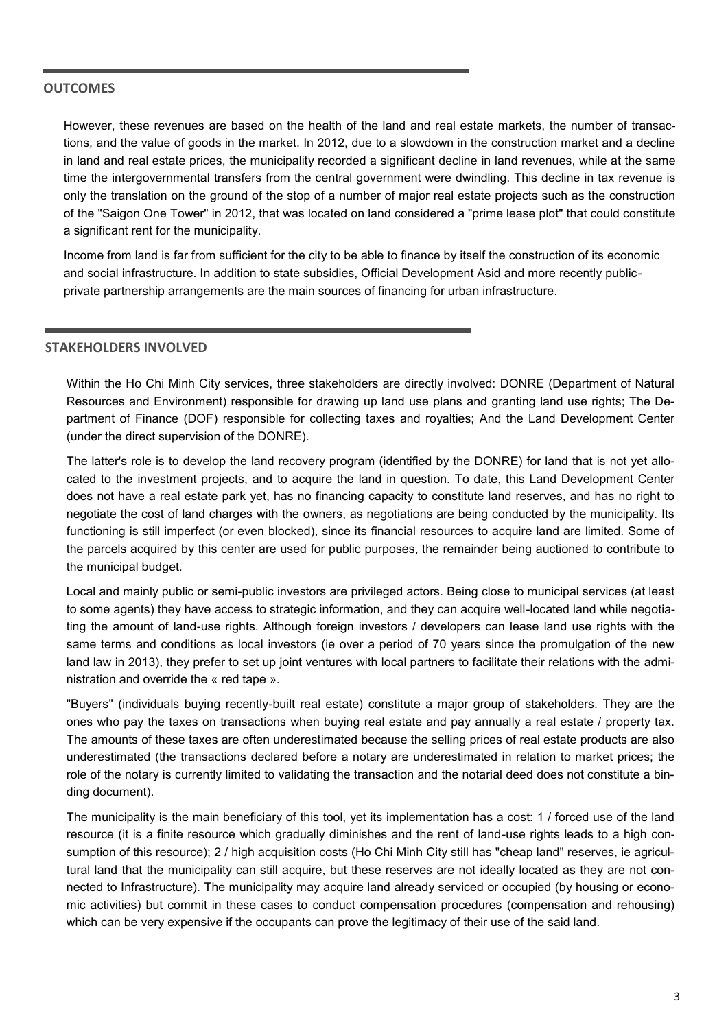#### **OUTCOMES**

However, these revenues are based on the health of the land and real estate markets, the number of transactions, and the value of goods in the market. In 2012, due to a slowdown in the construction market and a decline in land and real estate prices, the municipality recorded a significant decline in land revenues, while at the same time the intergovernmental transfers from the central government were dwindling. This decline in tax revenue is only the translation on the ground of the stop of a number of major real estate projects such as the construction of the "Saigon One Tower" in 2012, that was located on land considered a "prime lease plot" that could constitute a significant rent for the municipality.

Income from land is far from sufficient for the city to be able to finance by itself the construction of its economic and social infrastructure. In addition to state subsidies, Official Development Asid and more recently publicprivate partnership arrangements are the main sources of financing for urban infrastructure.

#### **STAKEHOLDERS INVOLVED**

Within the Ho Chi Minh City services, three stakeholders are directly involved: DONRE (Department of Natural Resources and Environment) responsible for drawing up land use plans and granting land use rights; The Department of Finance (DOF) responsible for collecting taxes and royalties; And the Land Development Center (under the direct supervision of the DONRE).

The latter's role is to develop the land recovery program (identified by the DONRE) for land that is not yet allocated to the investment projects, and to acquire the land in question. To date, this Land Development Center does not have a real estate park yet, has no financing capacity to constitute land reserves, and has no right to negotiate the cost of land charges with the owners, as negotiations are being conducted by the municipality. Its functioning is still imperfect (or even blocked), since its financial resources to acquire land are limited. Some of the parcels acquired by this center are used for public purposes, the remainder being auctioned to contribute to the municipal budget.

Local and mainly public or semi-public investors are privileged actors. Being close to municipal services (at least to some agents) they have access to strategic information, and they can acquire well-located land while negotiating the amount of land-use rights. Although foreign investors / developers can lease land use rights with the same terms and conditions as local investors (ie over a period of 70 years since the promulgation of the new land law in 2013), they prefer to set up joint ventures with local partners to facilitate their relations with the administration and override the « red tape ».

"Buyers" (individuals buying recently-built real estate) constitute a major group of stakeholders. They are the ones who pay the taxes on transactions when buying real estate and pay annually a real estate / property tax. The amounts of these taxes are often underestimated because the selling prices of real estate products are also underestimated (the transactions declared before a notary are underestimated in relation to market prices; the role of the notary is currently limited to validating the transaction and the notarial deed does not constitute a binding document).

The municipality is the main beneficiary of this tool, yet its implementation has a cost: 1 / forced use of the land resource (it is a finite resource which gradually diminishes and the rent of land-use rights leads to a high consumption of this resource); 2 / high acquisition costs (Ho Chi Minh City still has "cheap land" reserves, ie agricultural land that the municipality can still acquire, but these reserves are not ideally located as they are not connected to Infrastructure). The municipality may acquire land already serviced or occupied (by housing or economic activities) but commit in these cases to conduct compensation procedures (compensation and rehousing) which can be very expensive if the occupants can prove the legitimacy of their use of the said land.